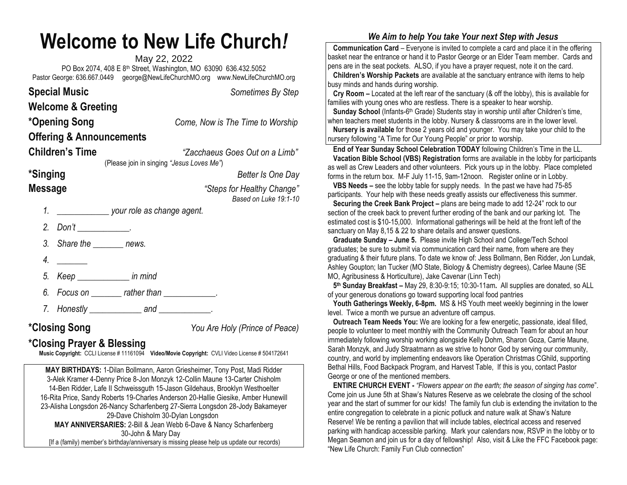## **Welcome to New Life Church***!*

May 22, 2022 PO Box 2074, 408 E 8th Street, Washington, MO 63090 636.432.5052 Pastor George: 636.667.0449 [george@NewLifeChurchMO.org](mailto:george@NewLifeChurchMO.org) [www.NewLifeChurchMO.org](http://www.newlifechurchmo.org/)

|                        | <b>Special Music</b><br><b>Welcome &amp; Greeting</b> |                                                 | Sometimes By Step                                   |
|------------------------|-------------------------------------------------------|-------------------------------------------------|-----------------------------------------------------|
|                        | *Opening Song                                         |                                                 | Come, Now is The Time to Worship                    |
|                        |                                                       | <b>Offering &amp; Announcements</b>             |                                                     |
| <b>Children's Time</b> |                                                       | (Please join in singing "Jesus Loves Me")       | "Zacchaeus Goes Out on a Limb"                      |
| <i><b>*Singing</b></i> |                                                       |                                                 | Better Is One Day                                   |
| <b>Message</b>         |                                                       |                                                 | "Steps for Healthy Change"<br>Based on Luke 19:1-10 |
| 1.                     |                                                       | your role as change agent.                      |                                                     |
|                        | 2. Don't _____________.                               |                                                 |                                                     |
|                        |                                                       | 3. Share the _________ news.                    |                                                     |
| 4.                     |                                                       |                                                 |                                                     |
|                        |                                                       | 5. Keep _______________ in mind                 |                                                     |
|                        |                                                       | 6. Focus on ________ rather than _____________. |                                                     |
| 7.                     |                                                       | Honestly _________________ and ______________.  |                                                     |
|                        |                                                       |                                                 |                                                     |

**\*Closing Song** *You Are Holy (Prince of Peace)*

## **\*Closing Prayer & Blessing**

**Music Copyright:** CCLI License # 11161094 **Video/Movie Copyright:** CVLI Video License # 504172641

**MAY BIRTHDAYS:** 1-Dilan Bollmann, Aaron Griesheimer, Tony Post, Madi Ridder 3-Alek Kramer 4-Denny Price 8-Jon Monzyk 12-Collin Maune 13-Carter Chisholm 14-Ben Ridder, Lafe II Schweissguth 15-Jason Gildehaus, Brooklyn Westhoelter 16-Rita Price, Sandy Roberts 19-Charles Anderson 20-Hallie Giesike, Amber Hunewill 23-Alisha Longsdon 26-Nancy Scharfenberg 27-Sierra Longsdon 28-Jody Bakameyer 29-Dave Chisholm 30-Dylan Longsdon **MAY ANNIVERSARIES:** 2-Bill & Jean Webb 6-Dave & Nancy Scharfenberg 30-John & Mary Day [If a (family) member's birthday/anniversary is missing please help us update our records)

## *We Aim to help You take Your next Step with Jesus*

 **Communication Card** – Everyone is invited to complete a card and place it in the offering basket near the entrance or hand it to Pastor George or an Elder Team member. Cards and pens are in the seat pockets. ALSO, if you have a prayer request, note it on the card.

 **Children's Worship Packets** are available at the sanctuary entrance with items to help busy minds and hands during worship.

 **Cry Room –** Located at the left rear of the sanctuary (& off the lobby), this is available for families with young ones who are restless. There is a speaker to hear worship.

**Sunday School** (Infants-6<sup>th</sup> Grade) Students stay in worship until after Children's time, when teachers meet students in the lobby. Nursery & classrooms are in the lower level.  **Nursery is available** for those 2 years old and younger. You may take your child to the nursery following "A Time for Our Young People" or prior to worship.

 **End of Year Sunday School Celebration TODAY** following Children's Time in the LL.  **Vacation Bible School (VBS) Registration** forms are available in the lobby for participants as well as Crew Leaders and other volunteers. Pick yours up in the lobby. Place completed forms in the return box. M-F July 11-15, 9am-12noon. Register online or in Lobby.

 **VBS Needs –** see the lobby table for supply needs. In the past we have had 75-85 participants. Your help with these needs greatly assists our effectiveness this summer.

**Securing the Creek Bank Project –** plans are being made to add 12-24" rock to our section of the creek back to prevent further eroding of the bank and our parking lot. The estimated cost is \$10-15,000. Informational gatherings will be held at the front left of the sanctuary on May 8,15 & 22 to share details and answer questions.

 **Graduate Sunday – June 5.** Please invite High School and College/Tech School graduates; be sure to submit via communication card their name, from where are they graduating & their future plans. To date we know of: Jess Bollmann, Ben Ridder, Jon Lundak, Ashley Goupton; Ian Tucker (MO State, Biology & Chemistry degrees), Carlee Maune (SE MO, Agribusiness & Horticulture), Jake Cavenar (Linn Tech)

 **5 th Sunday Breakfast –** May 29, 8:30-9:15; 10:30-11am**.** All supplies are donated, so ALL of your generous donations go toward supporting local food pantries

 **Youth Gatherings Weekly, 6-8pm.** MS & HS Youth meet weekly beginning in the lower level. Twice a month we pursue an adventure off campus.

 **Outreach Team Needs You:** We are looking for a few energetic, passionate, ideal filled, people to volunteer to meet monthly with the Community Outreach Team for about an hour immediately following worship working alongside Kelly Dohm, Sharon Goza, Carrie Maune, Sarah Monzyk, and Judy Straatmann as we strive to honor God by serving our community, country, and world by implementing endeavors like Operation Christmas CGhild, supporting Bethal Hills, Food Backpack Program, and Harvest Table, If this is you, contact Pastor George or one of the mentioned members.

 **ENTIRE CHURCH EVENT -** *"Flowers appear on the earth; the season of singing has come*". Come join us June 5th at Shaw's Natures Reserve as we celebrate the closing of the school year and the start of summer for our kids! The family fun club is extending the invitation to the entire congregation to celebrate in a picnic potluck and nature walk at Shaw's Nature Reserve! We be renting a pavilion that will include tables, electrical access and reserved parking with handicap accessible parking. Mark your calendars now, RSVP in the lobby or to Megan Seamon and join us for a day of fellowship! Also, visit & Like the FFC Facebook page: "New Life Church: Family Fun Club connection"